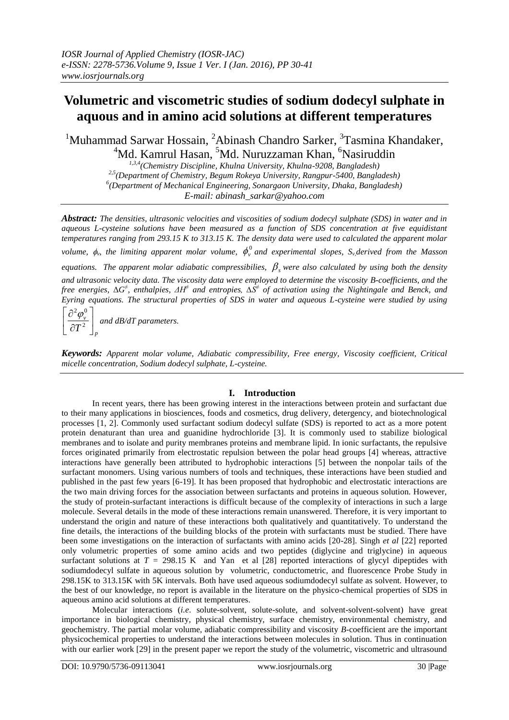# **Volumetric and viscometric studies of sodium dodecyl sulphate in aquous and in amino acid solutions at different temperatures**

<sup>1</sup>Muhammad Sarwar Hossain, <sup>2</sup>Abinash Chandro Sarker, <sup>3</sup>Tasmina Khandaker, <sup>4</sup>Md. Kamrul Hasan, <sup>5</sup>Md. Nuruzzaman Khan, <sup>6</sup>Nasiruddin

> *1,3,4 (Chemistry Discipline, Khulna University, Khulna-9208, Bangladesh) 2,5(Department of Chemistry, Begum Rokeya University, Rangpur-5400, Bangladesh) 6 (Department of Mechanical Engineering, Sonargaon University, Dhaka, Bangladesh) E-mail: abinash\_sarkar@yahoo.com*

*Abstract: The densities, ultrasonic velocities and viscosities of sodium dodecyl sulphate (SDS) in water and in aqueous L-cysteine solutions have been measured as a function of SDS concentration at five equidistant temperatures ranging from 293.15 K to 313.15 K. The density data were used to calculated the apparent molar volume,*  $\phi_v$ *, the limiting apparent molar volume,*  $\phi_v^0$  *and experimental slopes,*  $S_v$ *<i>derived from the Masson* equations. The apparent molar adiabatic compressibilies,  $\beta_s$  were also calculated by using both the density *and ultrasonic velocity data. The viscosity data were employed to determine the viscosity B-coefficients, and the* 

*free energies,* ∆*G<sup>±</sup>, enthalpies, ∆H<sup>≠</sup> and entropies, ∆S<sup>≠</sup> of activation using the Nightingale and Benck, and Eyring equations. The structural properties of SDS in water and aqueous L-cysteine were studied by using*   $\overline{\phantom{a}}$  $\mathbf{r}$  $\partial$ 

*p v*  $\frac{1}{T^2}$  $\rfloor$  $\partial$ 2  $\left(\frac{2}{\sqrt{v}}\right)^2$  and dB/dT parameters.

L  $\overline{\mathsf{L}}$ 

*Keywords: Apparent molar volume, Adiabatic compressibility, Free energy, Viscosity coefficient, Critical micelle concentration, Sodium dodecyl sulphate, L-cysteine.*

# **I. Introduction**

In recent years, there has been growing interest in the interactions between protein and surfactant due to their many applications in biosciences, foods and cosmetics, drug delivery, detergency, and biotechnological processes [1, 2]. Commonly used surfactant sodium dodecyl sulfate (SDS) is reported to act as a more potent protein denaturant than urea and guanidine hydrochloride [3]. It is commonly used to stabilize biological membranes and to isolate and purity membranes proteins and membrane lipid. In ionic surfactants, the repulsive forces originated primarily from electrostatic repulsion between the polar head groups [4] whereas, attractive interactions have generally been attributed to hydrophobic interactions [5] between the nonpolar tails of the surfactant monomers. Using various numbers of tools and techniques, these interactions have been studied and published in the past few years [6-19]. It has been proposed that hydrophobic and electrostatic interactions are the two main driving forces for the association between surfactants and proteins in aqueous solution. However, the study of protein-surfactant interactions is difficult because of the complexity of interactions in such a large molecule. Several details in the mode of these interactions remain unanswered. Therefore, it is very important to understand the origin and nature of these interactions both qualitatively and quantitatively. To understand the fine details, the interactions of the building blocks of the protein with surfactants must be studied. There have been some investigations on the interaction of surfactants with amino acids [20-28]. Singh *et al* [22] reported only volumetric properties of some amino acids and two peptides (diglycine and triglycine) in aqueous surfactant solutions at  $T = 298.15$  K and Yan et al [28] reported interactions of glycyl dipeptides with sodiumdodecyl sulfate in aqueous solution by volumetric, conductometric, and fluorescence Probe Study in 298.15K to 313.15K with 5K intervals. Both have used aqueous sodiumdodecyl sulfate as solvent. However, to the best of our knowledge, no report is available in the literature on the physico-chemical properties of SDS in aqueous amino acid solutions at different temperatures.

Molecular interactions (*i.e*. solute-solvent, solute-solute, and solvent-solvent-solvent) have great importance in biological chemistry, physical chemistry, surface chemistry, environmental chemistry, and geochemistry. The partial molar volume, adiabatic compressibility and viscosity *B-*coefficient are the important physicochemical properties to understand the interactions between molecules in solution. Thus in continuation with our earlier work [29] in the present paper we report the study of the volumetric, viscometric and ultrasound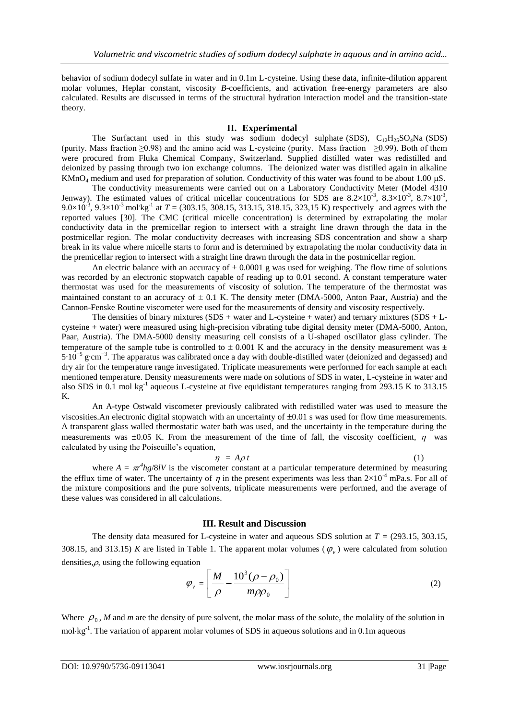behavior of sodium dodecyl sulfate in water and in 0.1m L-cysteine. Using these data, infinite-dilution apparent molar volumes, Heplar constant, viscosity *B*-coefficients, and activation free-energy parameters are also calculated. Results are discussed in terms of the structural hydration interaction model and the transition-state theory.

## **II. Experimental**

The Surfactant used in this study was sodium dodecyl sulphate (SDS),  $C_{12}H_{25}SO_4$ Na (SDS) (purity. Mass fraction ≥0.98) and the amino acid was L-cysteine (purity. Mass fraction ≥0.99). Both of them were procured from Fluka Chemical Company, Switzerland. Supplied distilled water was redistilled and deionized by passing through two ion exchange columns. The deionized water was distilled again in alkaline KMnO<sub>4</sub> medium and used for preparation of solution. Conductivity of this water was found to be about 1.00  $\mu$ S.

The conductivity measurements were carried out on a Laboratory Conductivity Meter (Model 4310 Jenway). The estimated values of critical micellar concentrations for SDS are  $8.2 \times 10^{-3}$ ,  $8.3 \times 10^{-3}$ ,  $8.7 \times 10^{-3}$ , 9.0 $\times$ 10<sup>-3</sup>, 9.3 $\times$ 10<sup>-3</sup> mol<sup>t</sup>kg<sup>-1</sup> at *T* = (303.15, 308.15, 313.15, 318.15, 323,15 K) respectively and agrees with the reported values [30]. The CMC (critical micelle concentration) is determined by extrapolating the molar conductivity data in the premicellar region to intersect with a straight line drawn through the data in the postmicellar region. The molar conductivity decreases with increasing SDS concentration and show a sharp break in its value where micelle starts to form and is determined by extrapolating the molar conductivity data in the premicellar region to intersect with a straight line drawn through the data in the postmicellar region.

An electric balance with an accuracy of  $\pm$  0.0001 g was used for weighing. The flow time of solutions was recorded by an electronic stopwatch capable of reading up to 0.01 second. A constant temperature water thermostat was used for the measurements of viscosity of solution. The temperature of the thermostat was maintained constant to an accuracy of  $\pm$  0.1 K. The density meter (DMA-5000, Anton Paar, Austria) and the Cannon-Fenske Routine viscometer were used for the measurements of density and viscosity respectively.

The densities of binary mixtures  $(SDS + water)$  and L-cysteine + water) and ternary mixtures  $(SDS + L$ cysteine + water) were measured using high-precision vibrating tube digital density meter (DMA-5000, Anton, Paar, Austria). The DMA-5000 density measuring cell consists of a U-shaped oscillator glass cylinder. The temperature of the sample tube is controlled to  $\pm$  0.001 K and the accuracy in the density measurement was  $\pm$ 5⋅10<sup>-5</sup> g⋅cm<sup>-3</sup>. The apparatus was calibrated once a day with double-distilled water (deionized and degassed) and dry air for the temperature range investigated. Triplicate measurements were performed for each sample at each mentioned temperature. Density measurements were made on solutions of SDS in water, L-cysteine in water and also SDS in 0.1 mol kg<sup>-1</sup> aqueous L-cysteine at five equidistant temperatures ranging from 293.15 K to 313.15 K.

An A-type Ostwald viscometer previously calibrated with redistilled water was used to measure the viscosities. An electronic digital stopwatch with an uncertainty of  $\pm 0.01$  s was used for flow time measurements. A transparent glass walled thermostatic water bath was used, and the uncertainty in the temperature during the measurements was  $\pm 0.05$  K. From the measurement of the time of fall, the viscosity coefficient,  $\eta$  was calculated by using the Poiseuille's equation,

$$
\eta = A \rho t \tag{1}
$$

where  $A = \pi r^4 h g/8$ *lV* is the viscometer constant at a particular temperature determined by measuring the efflux time of water. The uncertainty of  $\eta$  in the present experiments was less than  $2\times10^{-4}$  mPa.s. For all of the mixture compositions and the pure solvents, triplicate measurements were performed, and the average of these values was considered in all calculations.

### **III. Result and Discussion**

The density data measured for L-cysteine in water and aqueous SDS solution at *T =* (293.15, 303.15, 308.15, and 313.15) *K* are listed in Table 1. The apparent molar volumes  $(\varphi$ <sub>v</sub>) were calculated from solution densities, $\rho$ , using the following equation

$$
\varphi_{v} = \left[ \frac{M}{\rho} - \frac{10^3 (\rho - \rho_0)}{m \rho \rho_0} \right]
$$
\n(2)

Where  $\rho_0$ , *M* and *m* are the density of pure solvent, the molar mass of the solute, the molality of the solution in mol·kg<sup>-1</sup>. The variation of apparent molar volumes of SDS in aqueous solutions and in 0.1m aqueous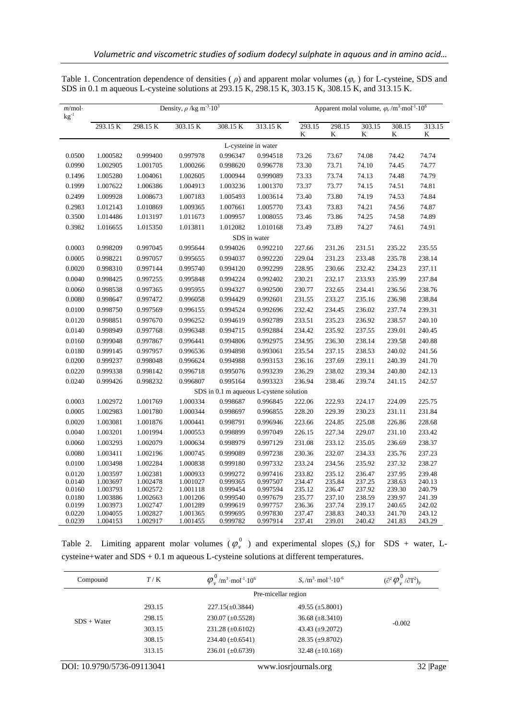| $m$ /mol·<br>$\rm kg^{\text{-}1}$ | Density, $\rho$ /kg m <sup>-3</sup> ·10 <sup>3</sup> |                      |                      |                                         |                      | Apparent molal volume, $\varphi_v/m^3 \text{·mol}^{-1} \cdot 10^6$ |                  |                  |                  |                  |
|-----------------------------------|------------------------------------------------------|----------------------|----------------------|-----------------------------------------|----------------------|--------------------------------------------------------------------|------------------|------------------|------------------|------------------|
|                                   | 293.15 K                                             | 298.15 K             | 303.15 K             | 308.15 K                                | 313.15 K             | 293.15<br>K                                                        | 298.15<br>K      | 303.15<br>K      | 308.15<br>K      | 313.15<br>K      |
|                                   |                                                      |                      |                      |                                         | L-cysteine in water  |                                                                    |                  |                  |                  |                  |
| 0.0500                            | 1.000582                                             | 0.999400             | 0.997978             | 0.996347                                | 0.994518             | 73.26                                                              | 73.67            | 74.08            | 74.42            | 74.74            |
| 0.0990                            | 1.002905                                             | 1.001705             | 1.000266             | 0.998620                                | 0.996778             | 73.30                                                              | 73.71            | 74.10            | 74.45            | 74.77            |
| 0.1496                            | 1.005280                                             | 1.004061             | 1.002605             | 1.000944                                | 0.999089             | 73.33                                                              | 73.74            | 74.13            | 74.48            | 74.79            |
| 0.1999                            | 1.007622                                             | 1.006386             | 1.004913             | 1.003236                                | 1.001370             | 73.37                                                              | 73.77            | 74.15            | 74.51            | 74.81            |
| 0.2499                            | 1.009928                                             | 1.008673             | 1.007183             | 1.005493                                | 1.003614             | 73.40                                                              | 73.80            | 74.19            | 74.53            | 74.84            |
| 0.2983                            | 1.012143                                             | 1.010869             | 1.009365             | 1.007661                                | 1.005770             | 73.43                                                              | 73.83            | 74.21            | 74.56            | 74.87            |
| 0.3500                            | 1.014486                                             | 1.013197             | 1.011673             | 1.009957                                | 1.008055             | 73.46                                                              | 73.86            | 74.25            | 74.58            | 74.89            |
| 0.3982                            | 1.016655                                             | 1.015350             | 1.013811             | 1.012082                                | 1.010168             | 73.49                                                              | 73.89            | 74.27            | 74.61            | 74.91            |
|                                   |                                                      |                      |                      |                                         | SDS in water         |                                                                    |                  |                  |                  |                  |
| 0.0003                            | 0.998209                                             | 0.997045             | 0.995644             | 0.994026                                | 0.992210             | 227.66                                                             | 231.26           | 231.51           | 235.22           | 235.55           |
| 0.0005                            | 0.998221                                             | 0.997057             | 0.995655             | 0.994037                                | 0.992220             | 229.04                                                             | 231.23           | 233.48           | 235.78           | 238.14           |
| 0.0020                            | 0.998310                                             | 0.997144             | 0.995740             | 0.994120                                | 0.992299             | 228.95                                                             | 230.66           | 232.42           | 234.23           | 237.11           |
| 0.0040                            | 0.998425                                             | 0.997255             | 0.995848             | 0.994224                                | 0.992402             | 230.21                                                             | 232.17           | 233.93           | 235.99           | 237.84           |
| 0.0060                            | 0.998538                                             | 0.997365             | 0.995955             | 0.994327                                | 0.992500             | 230.77                                                             | 232.65           | 234.41           | 236.56           | 238.76           |
| 0.0080                            | 0.998647                                             | 0.997472             | 0.996058             | 0.994429                                | 0.992601             | 231.55                                                             | 233.27           | 235.16           | 236.98           | 238.84           |
| 0.0100                            | 0.998750                                             | 0.997569             | 0.996155             | 0.994524                                | 0.992696             | 232.42                                                             | 234.45           | 236.02           | 237.74           | 239.31           |
| 0.0120                            | 0.998851                                             | 0.997670             | 0.996252             | 0.994619                                | 0.992789             | 233.51                                                             | 235.23           | 236.92           | 238.57           | 240.10           |
| 0.0140                            | 0.998949                                             | 0.997768             | 0.996348             | 0.994715                                | 0.992884             | 234.42                                                             | 235.92           | 237.55           | 239.01           | 240.45           |
| 0.0160                            | 0.999048                                             | 0.997867             | 0.996441             | 0.994806                                | 0.992975             | 234.95                                                             | 236.30           | 238.14           | 239.58           | 240.88           |
| 0.0180                            | 0.999145                                             | 0.997957             | 0.996536             | 0.994898                                | 0.993061             | 235.54                                                             | 237.15           | 238.53           | 240.02           | 241.56           |
| 0.0200                            | 0.999237                                             | 0.998048             | 0.996624             | 0.994988                                | 0.993153             | 236.16                                                             | 237.69           | 239.11           | 240.39           | 241.70           |
| 0.0220                            | 0.999338                                             | 0.998142             | 0.996718             | 0.995076                                | 0.993239             | 236.29                                                             | 238.02           | 239.34           | 240.80           | 242.13           |
| 0.0240                            | 0.999426                                             | 0.998232             | 0.996807             | 0.995164                                | 0.993323             | 236.94                                                             | 238.46           | 239.74           | 241.15           | 242.57           |
|                                   |                                                      |                      |                      | SDS in 0.1 m aqueous L-cystene solution |                      |                                                                    |                  |                  |                  |                  |
| 0.0003                            | 1.002972                                             | 1.001769             | 1.000334             | 0.998687                                | 0.996845             | 222.06                                                             | 222.93           | 224.17           | 224.09           | 225.75           |
| 0.0005                            | 1.002983                                             | 1.001780             | 1.000344             | 0.998697                                | 0.996855             | 228.20                                                             | 229.39           | 230.23           | 231.11           | 231.84           |
| 0.0020                            | 1.003081                                             | 1.001876             | 1.000441             | 0.998791                                | 0.996946             | 223.66                                                             | 224.85           | 225.08           | 226.86           | 228.68           |
| 0.0040                            | 1.003201                                             | 1.001994             | 1.000553             | 0.998899                                | 0.997049             | 226.15                                                             | 227.34           | 229.07           | 231.10           | 233.42           |
| 0.0060                            | 1.003293                                             | 1.002079             | 1.000634             | 0.998979                                | 0.997129             | 231.08                                                             | 233.12           | 235.05           | 236.69           | 238.37           |
| 0.0080                            | 1.003411                                             | 1.002196             | 1.000745             | 0.999089                                | 0.997238             | 230.36                                                             | 232.07           | 234.33           | 235.76           | 237.23           |
| 0.0100                            | 1.003498                                             | 1.002284             | 1.000838             | 0.999180                                | 0.997332             | 233.24                                                             | 234.56           | 235.92           | 237.32           | 238.27           |
| 0.0120                            | 1.003597                                             | 1.002381             | 1.000933             | 0.999272                                | 0.997416             | 233.82                                                             | 235.12           | 236.47           | 237.95           | 239.48           |
| 0.0140                            | 1.003697                                             | 1.002478             | 1.001027             | 0.999365                                | 0.997507             | 234.47                                                             | 235.84           | 237.25           | 238.63           | 240.13           |
| 0.0160                            | 1.003793                                             | 1.002572             | 1.001118             | 0.999454                                | 0.997594             | 235.12                                                             | 236.47           | 237.92           | 239.30           | 240.79           |
| 0.0180<br>0.0199                  | 1.003886<br>1.003973                                 | 1.002663<br>1.002747 | 1.001206<br>1.001289 | 0.999540<br>0.999619                    | 0.997679<br>0.997757 | 235.77<br>236.36                                                   | 237.10<br>237.74 | 238.59<br>239.17 | 239.97<br>240.65 | 241.39<br>242.02 |
| 0.0220                            | 1.004055                                             | 1.002827             | 1.001365             | 0.999695                                | 0.997830             | 237.47                                                             | 238.83           | 240.33           | 241.70           | 243.12           |
| 0.0239                            | 1.004153                                             | 1.002917             | 1.001455             | 0.999782                                | 0.997914             | 237.41                                                             | 239.01           | 240.42           | 241.83           | 243.29           |

Table 1. Concentration dependence of densities (*ρ*) and apparent molar volumes ( $\varphi$ , ) for L-cysteine, SDS and SDS in 0.1 m aqueous L-cysteine solutions at 293.15 K, 298.15 K, 303.15 K, 308.15 K, and 313.15 K.

Table 2. Limiting apparent molar volumes  $(\varphi_{v}^{0})$  and experimental slopes  $(S_{v})$  for SDS + water, Lcysteine+water and SDS + 0.1 m aqueous L-cysteine solutions at different temperatures.

| Compound                   | T/K    | $\varphi_{v}^{0}$ /m <sup>3</sup> ·mol <sup>-1</sup> ·10 <sup>6</sup> | $S_{\nu}/m^3$ · mol <sup>-1</sup> ·10 <sup>-6</sup> | $(\partial^2 \varphi_v^0/\partial T^2)_p$ |
|----------------------------|--------|-----------------------------------------------------------------------|-----------------------------------------------------|-------------------------------------------|
|                            |        |                                                                       | Pre-micellar region                                 |                                           |
|                            | 293.15 | $227.15(\pm 0.3844)$                                                  | 49.55 $(\pm 5.8001)$                                |                                           |
| $SDS + Water$              | 298.15 | $230.07 \ (\pm 0.5528)$                                               | 36.68 $(\pm 8.3410)$                                |                                           |
|                            | 303.15 | $231.28 \ (\pm 0.6102)$                                               | 43.43 $(\pm 9.2072)$                                | $-0.002$                                  |
|                            | 308.15 | 234.40 $(\pm 0.6541)$                                                 | $28.35 \ (\pm 9.8702)$                              |                                           |
|                            | 313.15 | 236.01 $(\pm 0.6739)$                                                 | 32.48 $(\pm 10.168)$                                |                                           |
| DOI: 10.9790/5736-09113041 |        |                                                                       | www.iosrjournals.org                                | 32 Page                                   |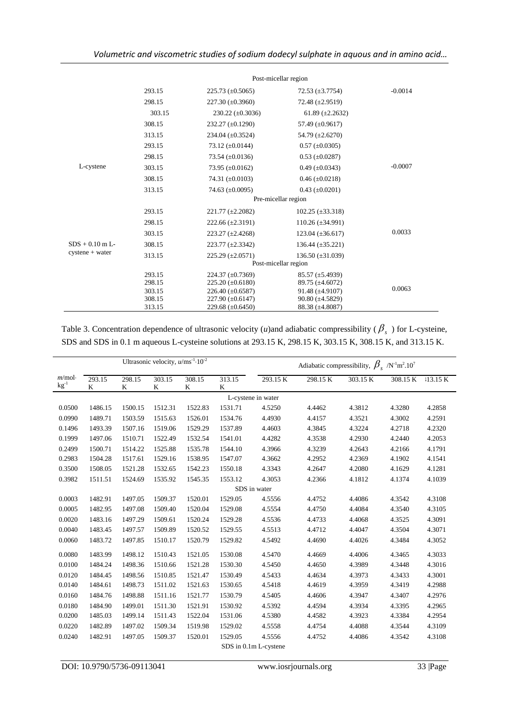|                   |        |                                    | Post-micellar region    |           |
|-------------------|--------|------------------------------------|-------------------------|-----------|
|                   | 293.15 | $225.73 \ (\pm 0.5065)$            | 72.53 $(\pm 3.7754)$    | $-0.0014$ |
|                   | 298.15 | $227.30 \ (\pm 0.3960)$            | 72.48 $(\pm 2.9519)$    |           |
|                   | 303.15 | $230.22 \ (\pm 0.3036)$            | 61.89 $(\pm 2.2632)$    |           |
|                   | 308.15 | $232.27 \ (\pm 0.1290)$            | 57.49 $(\pm 0.9617)$    |           |
|                   | 313.15 | 234.04 $(\pm 0.3524)$              | 54.79 $(\pm 2.6270)$    |           |
|                   | 293.15 | 73.12 $(\pm 0.0144)$               | $0.57 (\pm 0.0305)$     |           |
|                   | 298.15 | 73.54 $(\pm 0.0136)$               | $0.53 \ (\pm 0.0287)$   |           |
| L-cystene         | 303.15 | 73.95 $(\pm 0.0162)$               | $0.49 \ (\pm 0.0343)$   | $-0.0007$ |
|                   | 308.15 | 74.31 $(\pm 0.0103)$               | $0.46 (\pm 0.0218)$     |           |
|                   | 313.15 | 74.63 $(\pm 0.0095)$               | $0.43 \ (\pm 0.0201)$   |           |
|                   |        |                                    | Pre-micellar region     |           |
|                   | 293.15 | $221.77 \ (\pm 2.2082)$            | $102.25 \ (\pm 33.318)$ |           |
|                   | 298.15 | $222.66 \left( \pm 2.3191 \right)$ | $110.26 \ (\pm 34.991)$ |           |
|                   | 303.15 | $223.27 \left( \pm 2.4268 \right)$ | $123.04 \ (\pm 36.617)$ | 0.0033    |
| $SDS + 0.10$ m L- | 308.15 | $223.77 \ (\pm 2.3342)$            | $136.44 \ (\pm 35.221)$ |           |
| $cystene + water$ | 313.15 | $225.29 \left( \pm 2.0571 \right)$ | $136.50 \ (\pm 31.039)$ |           |
|                   |        |                                    | Post-micellar region    |           |
|                   | 293.15 | 224.37 $(\pm 0.7369)$              | $85.57 \ (\pm 5.4939)$  |           |
|                   | 298.15 | $225.20 \ (\pm 0.6180)$            | 89.75 $(\pm 4.6072)$    | 0.0063    |
|                   | 303.15 | 226.40 $(\pm 0.6587)$              | $91.48 (\pm 4.9107)$    |           |
|                   | 308.15 | $227.90 \ (\pm 0.6147)$            | $90.80 (\pm 4.5829)$    |           |
|                   | 313.15 | 229.68 $(\pm 0.6450)$              | 88.38 (±4.8087)         |           |

Table 3. Concentration dependence of ultrasonic velocity (*u*)and adiabatic compressibility ( $\beta_s$ ) for L-cysteine, SDS and SDS in 0.1 m aqueous L-cysteine solutions at 293.15 K, 298.15 K, 303.15 K, 308.15 K, and 313.15 K.

|                            | Ultrasonic velocity, $u/ms^{-1} \cdot 10^{-2}$ |             |             |             |             | Adiabatic compressibility, $\beta_s$ /N <sup>-1</sup> m <sup>2</sup> .10 <sup>7</sup> |          |          |          |         |
|----------------------------|------------------------------------------------|-------------|-------------|-------------|-------------|---------------------------------------------------------------------------------------|----------|----------|----------|---------|
| $m$ /mol·<br>$\rm kg^{-1}$ | 293.15<br>K                                    | 298.15<br>K | 303.15<br>K | 308.15<br>K | 313.15<br>K | 293.15 K                                                                              | 298.15 K | 303.15 K | 308.15 K | 13.15 K |
|                            |                                                |             |             |             |             | L-cystene in water                                                                    |          |          |          |         |
| 0.0500                     | 1486.15                                        | 1500.15     | 1512.31     | 1522.83     | 1531.71     | 4.5250                                                                                | 4.4462   | 4.3812   | 4.3280   | 4.2858  |
| 0.0990                     | 1489.71                                        | 1503.59     | 1515.63     | 1526.01     | 1534.76     | 4.4930                                                                                | 4.4157   | 4.3521   | 4.3002   | 4.2591  |
| 0.1496                     | 1493.39                                        | 1507.16     | 1519.06     | 1529.29     | 1537.89     | 4.4603                                                                                | 4.3845   | 4.3224   | 4.2718   | 4.2320  |
| 0.1999                     | 1497.06                                        | 1510.71     | 1522.49     | 1532.54     | 1541.01     | 4.4282                                                                                | 4.3538   | 4.2930   | 4.2440   | 4.2053  |
| 0.2499                     | 1500.71                                        | 1514.22     | 1525.88     | 1535.78     | 1544.10     | 4.3966                                                                                | 4.3239   | 4.2643   | 4.2166   | 4.1791  |
| 0.2983                     | 1504.28                                        | 1517.61     | 1529.16     | 1538.95     | 1547.07     | 4.3662                                                                                | 4.2952   | 4.2369   | 4.1902   | 4.1541  |
| 0.3500                     | 1508.05                                        | 1521.28     | 1532.65     | 1542.23     | 1550.18     | 4.3343                                                                                | 4.2647   | 4.2080   | 4.1629   | 4.1281  |
| 0.3982                     | 1511.51                                        | 1524.69     | 1535.92     | 1545.35     | 1553.12     | 4.3053                                                                                | 4.2366   | 4.1812   | 4.1374   | 4.1039  |
|                            |                                                |             |             |             |             | SDS in water                                                                          |          |          |          |         |
| 0.0003                     | 1482.91                                        | 1497.05     | 1509.37     | 1520.01     | 1529.05     | 4.5556                                                                                | 4.4752   | 4.4086   | 4.3542   | 4.3108  |
| 0.0005                     | 1482.95                                        | 1497.08     | 1509.40     | 1520.04     | 1529.08     | 4.5554                                                                                | 4.4750   | 4.4084   | 4.3540   | 4.3105  |
| 0.0020                     | 1483.16                                        | 1497.29     | 1509.61     | 1520.24     | 1529.28     | 4.5536                                                                                | 4.4733   | 4.4068   | 4.3525   | 4.3091  |
| 0.0040                     | 1483.45                                        | 1497.57     | 1509.89     | 1520.52     | 1529.55     | 4.5513                                                                                | 4.4712   | 4.4047   | 4.3504   | 4.3071  |
| 0.0060                     | 1483.72                                        | 1497.85     | 1510.17     | 1520.79     | 1529.82     | 4.5492                                                                                | 4.4690   | 4.4026   | 4.3484   | 4.3052  |
| 0.0080                     | 1483.99                                        | 1498.12     | 1510.43     | 1521.05     | 1530.08     | 4.5470                                                                                | 4.4669   | 4.4006   | 4.3465   | 4.3033  |
| 0.0100                     | 1484.24                                        | 1498.36     | 1510.66     | 1521.28     | 1530.30     | 4.5450                                                                                | 4.4650   | 4.3989   | 4.3448   | 4.3016  |
| 0.0120                     | 1484.45                                        | 1498.56     | 1510.85     | 1521.47     | 1530.49     | 4.5433                                                                                | 4.4634   | 4.3973   | 4.3433   | 4.3001  |
| 0.0140                     | 1484.61                                        | 1498.73     | 1511.02     | 1521.63     | 1530.65     | 4.5418                                                                                | 4.4619   | 4.3959   | 4.3419   | 4.2988  |
| 0.0160                     | 1484.76                                        | 1498.88     | 1511.16     | 1521.77     | 1530.79     | 4.5405                                                                                | 4.4606   | 4.3947   | 4.3407   | 4.2976  |
| 0.0180                     | 1484.90                                        | 1499.01     | 1511.30     | 1521.91     | 1530.92     | 4.5392                                                                                | 4.4594   | 4.3934   | 4.3395   | 4.2965  |
| 0.0200                     | 1485.03                                        | 1499.14     | 1511.43     | 1522.04     | 1531.06     | 4.5380                                                                                | 4.4582   | 4.3923   | 4.3384   | 4.2954  |
| 0.0220                     | 1482.89                                        | 1497.02     | 1509.34     | 1519.98     | 1529.02     | 4.5558                                                                                | 4.4754   | 4.4088   | 4.3544   | 4.3109  |
| 0.0240                     | 1482.91                                        | 1497.05     | 1509.37     | 1520.01     | 1529.05     | 4.5556                                                                                | 4.4752   | 4.4086   | 4.3542   | 4.3108  |
|                            |                                                |             |             |             |             | SDS in 0.1m L-cystene                                                                 |          |          |          |         |

l.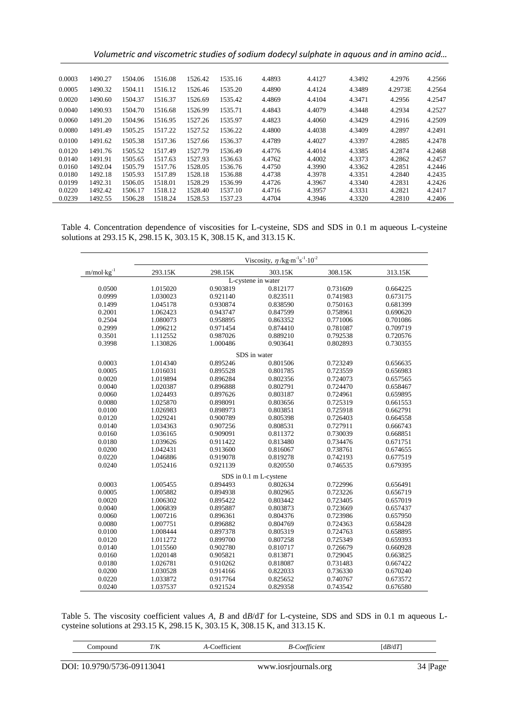| Volumetric and viscometric studies of sodium dodecyl sulphate in aquous and in amino acid |  |  |  |
|-------------------------------------------------------------------------------------------|--|--|--|
|-------------------------------------------------------------------------------------------|--|--|--|

| 0.0003 | 1490.27 | 1504.06 | 1516.08 | 1526.42 | 1535.16 | 4.4893 | 4.4127 | 4.3492 | 4.2976  | 4.2566 |
|--------|---------|---------|---------|---------|---------|--------|--------|--------|---------|--------|
| 0.0005 | 1490.32 | 1504.11 | 1516.12 | 1526.46 | 1535.20 | 4.4890 | 4.4124 | 4.3489 | 4.2973E | 4.2564 |
| 0.0020 | 1490.60 | 1504.37 | 1516.37 | 1526.69 | 1535.42 | 4.4869 | 4.4104 | 4.3471 | 4.2956  | 4.2547 |
| 0.0040 | 1490.93 | 1504.70 | 1516.68 | 1526.99 | 1535.71 | 4.4843 | 4.4079 | 4.3448 | 4.2934  | 4.2527 |
| 0.0060 | 1491.20 | 1504.96 | 1516.95 | 1527.26 | 1535.97 | 4.4823 | 4.4060 | 4.3429 | 4.2916  | 4.2509 |
| 0.0080 | 1491.49 | 1505.25 | 1517.22 | 1527.52 | 1536.22 | 4.4800 | 4.4038 | 4.3409 | 4.2897  | 4.2491 |
| 0.0100 | 1491.62 | 1505.38 | 1517.36 | 1527.66 | 1536.37 | 4.4789 | 4.4027 | 4.3397 | 4.2885  | 4.2478 |
| 0.0120 | 1491.76 | 1505.52 | 1517.49 | 1527.79 | 1536.49 | 4.4776 | 4.4014 | 4.3385 | 4.2874  | 4.2468 |
| 0.0140 | 1491.91 | 1505.65 | 1517.63 | 1527.93 | 1536.63 | 4.4762 | 4.4002 | 4.3373 | 4.2862  | 4.2457 |
| 0.0160 | 1492.04 | 1505.79 | 1517.76 | 1528.05 | 1536.76 | 4.4750 | 4.3990 | 4.3362 | 4.2851  | 4.2446 |
| 0.0180 | 1492.18 | 1505.93 | 1517.89 | 1528.18 | 1536.88 | 4.4738 | 4.3978 | 4.3351 | 4.2840  | 4.2435 |
| 0.0199 | 1492.31 | 1506.05 | 1518.01 | 1528.29 | 1536.99 | 4.4726 | 4.3967 | 4.3340 | 4.2831  | 4.2426 |
| 0.0220 | 1492.42 | 1506.17 | 1518.12 | 1528.40 | 1537.10 | 4.4716 | 4.3957 | 4.3331 | 4.2821  | 4.2417 |
| 0.0239 | 1492.55 | 1506.28 | 1518.24 | 1528.53 | 1537.23 | 4.4704 | 4.3946 | 4.3320 | 4.2810  | 4.2406 |
|        |         |         |         |         |         |        |        |        |         |        |

Table 4. Concentration dependence of viscosities for L-cysteine, SDS and SDS in 0.1 m aqueous L-cysteine solutions at 293.15 K, 298.15 K, 303.15 K, 308.15 K, and 313.15 K.

|                       |          |          | Viscosity, $\eta$ /kg·m <sup>-1</sup> s <sup>-1</sup> ·10 <sup>-2</sup> |          |          |
|-----------------------|----------|----------|-------------------------------------------------------------------------|----------|----------|
| $m/mol \cdot kg^{-1}$ | 293.15K  | 298.15K  | 303.15K                                                                 | 308.15K  | 313.15K  |
|                       |          |          | L-cystene in water                                                      |          |          |
| 0.0500                | 1.015020 | 0.903819 | 0.812177                                                                | 0.731609 | 0.664225 |
| 0.0999                | 1.030023 | 0.921140 | 0.823511                                                                | 0.741983 | 0.673175 |
| 0.1499                | 1.045178 | 0.930874 | 0.838590                                                                | 0.750163 | 0.681399 |
| 0.2001                | 1.062423 | 0.943747 | 0.847599                                                                | 0.758961 | 0.690620 |
| 0.2504                | 1.080073 | 0.958895 | 0.863352                                                                | 0.771006 | 0.701086 |
| 0.2999                | 1.096212 | 0.971454 | 0.874410                                                                | 0.781087 | 0.709719 |
| 0.3501                | 1.112552 | 0.987026 | 0.889210                                                                | 0.792538 | 0.720576 |
| 0.3998                | 1.130826 | 1.000486 | 0.903641                                                                | 0.802893 | 0.730355 |
|                       |          |          | SDS in water                                                            |          |          |
| 0.0003                | 1.014340 | 0.895246 | 0.801506                                                                | 0.723249 | 0.656635 |
| 0.0005                | 1.016031 | 0.895528 | 0.801785                                                                | 0.723559 | 0.656983 |
| 0.0020                | 1.019894 | 0.896284 | 0.802356                                                                | 0.724073 | 0.657565 |
| 0.0040                | 1.020387 | 0.896888 | 0.802791                                                                | 0.724470 | 0.658467 |
| 0.0060                | 1.024493 | 0.897626 | 0.803187                                                                | 0.724961 | 0.659895 |
| 0.0080                | 1.025870 | 0.898091 | 0.803656                                                                | 0.725319 | 0.661553 |
| 0.0100                | 1.026983 | 0.898973 | 0.803851                                                                | 0.725918 | 0.662791 |
| 0.0120                | 1.029241 | 0.900789 | 0.805398                                                                | 0.726403 | 0.664558 |
| 0.0140                | 1.034363 | 0.907256 | 0.808531                                                                | 0.727911 | 0.666743 |
| 0.0160                | 1.036165 | 0.909091 | 0.811372                                                                | 0.730039 | 0.668851 |
| 0.0180                | 1.039626 | 0.911422 | 0.813480                                                                | 0.734476 | 0.671751 |
| 0.0200                | 1.042431 | 0.913600 | 0.816067                                                                | 0.738761 | 0.674655 |
| 0.0220                | 1.046886 | 0.919078 | 0.819278                                                                | 0.742193 | 0.677519 |
| 0.0240                | 1.052416 | 0.921139 | 0.820550                                                                | 0.746535 | 0.679395 |
|                       |          |          | SDS in 0.1 m L-cystene                                                  |          |          |
| 0.0003                | 1.005455 | 0.894493 | 0.802634                                                                | 0.722996 | 0.656491 |
| 0.0005                | 1.005882 | 0.894938 | 0.802965                                                                | 0.723226 | 0.656719 |
| 0.0020                | 1.006302 | 0.895422 | 0.803442                                                                | 0.723405 | 0.657019 |
| 0.0040                | 1.006839 | 0.895887 | 0.803873                                                                | 0.723669 | 0.657437 |
| 0.0060                | 1.007216 | 0.896361 | 0.804376                                                                | 0.723986 | 0.657950 |
| 0.0080                | 1.007751 | 0.896882 | 0.804769                                                                | 0.724363 | 0.658428 |
| 0.0100                | 1.008444 | 0.897378 | 0.805319                                                                | 0.724763 | 0.658895 |
| 0.0120                | 1.011272 | 0.899700 | 0.807258                                                                | 0.725349 | 0.659393 |
| 0.0140                | 1.015560 | 0.902780 | 0.810717                                                                | 0.726679 | 0.660928 |
| 0.0160                | 1.020148 | 0.905821 | 0.813871                                                                | 0.729045 | 0.663825 |
| 0.0180                | 1.026781 | 0.910262 | 0.818087                                                                | 0.731483 | 0.667422 |
| 0.0200                | 1.030528 | 0.914166 | 0.822033                                                                | 0.736330 | 0.670240 |
| 0.0220                | 1.033872 | 0.917764 | 0.825652                                                                | 0.740767 | 0.673572 |
| 0.0240                | 1.037537 | 0.921524 | 0.829358                                                                | 0.743542 | 0.676580 |

Table 5. The viscosity coefficient values *A*, *B* and d*B*/d*T* for L-cysteine, SDS and SDS in 0.1 m aqueous Lcysteine solutions at 293.15 K, 298.15 K, 303.15 K, 308.15 K, and 313.15 K.

<u> 1980 - Johann Barn, mars eta bainar eta idazlea (</u>

| Compound                   | T/K |  | A-Coefficient<br><b>B-Coefficient</b> |  |         |
|----------------------------|-----|--|---------------------------------------|--|---------|
|                            |     |  |                                       |  |         |
| DOI: 10.9790/5736-09113041 |     |  | www.iosrjournals.org                  |  | 34 Page |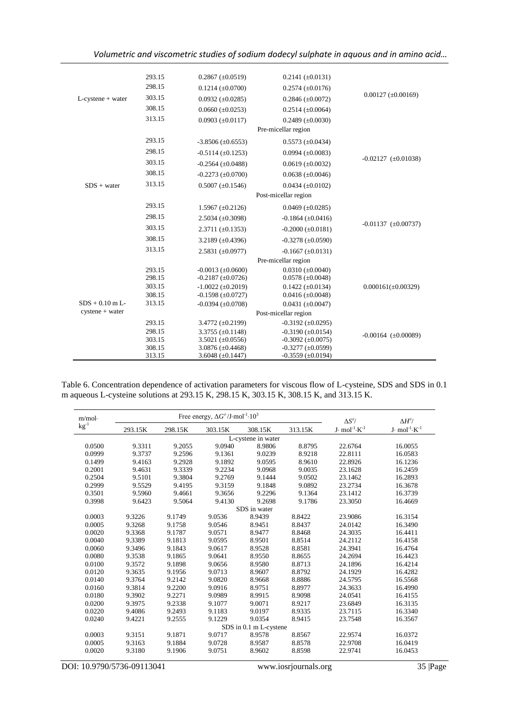*Volumetric and viscometric studies of sodium dodecyl sulphate in aquous and in amino acid…*

|                      | 293.15 | $0.2867 (\pm 0.0519)$      | $0.2141 (\pm 0.0131)$      |                              |
|----------------------|--------|----------------------------|----------------------------|------------------------------|
|                      | 298.15 | $0.1214 (\pm 0.0700)$      | $0.2574 \ (\pm 0.0176)$    |                              |
| $L$ -cystene + water | 303.15 | $0.0932 (\pm 0.0285)$      | $0.2846 (\pm 0.0072)$      | $0.00127 (\pm 0.00169)$      |
|                      | 308.15 | $0.0660 (\pm 0.0253)$      | $0.2514 (\pm 0.0064)$      |                              |
|                      | 313.15 | $0.0903 \ (\pm 0.0117)$    | $0.2489 \ (\pm 0.0030)$    |                              |
|                      |        |                            | Pre-micellar region        |                              |
|                      | 293.15 | $-3.8506 (\pm 0.6553)$     | $0.5573 (\pm 0.0434)$      |                              |
|                      | 298.15 | $-0.5114 (\pm 0.1253)$     | $0.0994 \ (\pm 0.0083)$    |                              |
|                      | 303.15 | $-0.2564 (\pm 0.0488)$     | $0.0619 \ (\pm 0.0032)$    | $-0.02127 \ (\pm 0.01038)$   |
|                      | 308.15 | $-0.2273$ ( $\pm 0.0700$ ) | $0.0638 (\pm 0.0046)$      |                              |
| $SDS + water$        | 313.15 | $0.5007 (\pm 0.1546)$      | $0.0434 (\pm 0.0102)$      |                              |
|                      |        |                            | Post-micellar region       |                              |
|                      | 293.15 | $1.5967 \ (\pm 0.2126)$    | $0.0469 \ (\pm 0.0285)$    |                              |
|                      | 298.15 | $2.5034 (\pm 0.3098)$      | $-0.1864 (\pm 0.0416)$     |                              |
|                      | 303.15 | $2.3711 (\pm 0.1353)$      | $-0.2000 \ (\pm 0.0181)$   | $-0.01137$ ( $\pm 0.00737$ ) |
|                      | 308.15 |                            |                            |                              |
|                      |        | 3.2189 $(\pm 0.4396)$      | $-0.3278 (\pm 0.0590)$     |                              |
|                      | 313.15 | $2.5831 (\pm 0.0977)$      | $-0.1667 \ (\pm 0.0131)$   |                              |
|                      |        |                            | Pre-micellar region        |                              |
|                      | 293.15 | $-0.0013$ ( $\pm 0.0600$ ) | $0.0310 (\pm 0.0040)$      |                              |
|                      | 298.15 | $-0.2187 (\pm 0.0726)$     | $0.0578 (\pm 0.0048)$      |                              |
|                      | 303.15 | $-1.0022 (\pm 0.2019)$     | $0.1422 (\pm 0.0134)$      | $0.000161(\pm 0.00329)$      |
|                      | 308.15 | $-0.1598 (\pm 0.0727)$     | $0.0416 (\pm 0.0048)$      |                              |
| $SDS + 0.10$ m L-    | 313.15 | $-0.0394 (\pm 0.0708)$     | $0.0431 (\pm 0.0047)$      |                              |
| $cystene + water$    |        |                            | Post-micellar region       |                              |
|                      | 293.15 | 3.4772 $(\pm 0.2199)$      | $-0.3192 (\pm 0.0295)$     |                              |
|                      | 298.15 | $3.3755 (\pm 0.1148)$      | $-0.3190 (\pm 0.0154)$     | $-0.00164$ ( $\pm 0.00089$ ) |
|                      | 303.15 | 3.5021 $(\pm 0.0556)$      | $-0.3092 (\pm 0.0075)$     |                              |
|                      | 308.15 | $3.0876 \ (\pm 0.4468)$    | $-0.3277 (\pm 0.0599)$     |                              |
|                      | 313.15 | 3.6048 $(\pm 0.1447)$      | $-0.3559$ ( $\pm 0.0194$ ) |                              |

Table 6. Concentration dependence of activation parameters for viscous flow of L-cysteine, SDS and SDS in 0.1 m aqueous L-cysteine solutions at 293.15 K, 298.15 K, 303.15 K, 308.15 K, and 313.15 K.

| m/mol        |         |         | Free energy, $\Delta G^{\neq}/J$ ·mol <sup>-1</sup> ·10 <sup>3</sup> |                        |         | $\Delta S^{\neq}/$              | $\Delta H^{\neq}/$              |  |
|--------------|---------|---------|----------------------------------------------------------------------|------------------------|---------|---------------------------------|---------------------------------|--|
| $kg^{-1}$    | 293.15K | 298.15K | 303.15K                                                              | 308.15K                | 313.15K | $J \cdot mol^{-1} \cdot K^{-1}$ | $J \cdot mol^{-1} \cdot K^{-1}$ |  |
|              |         |         |                                                                      | L-cystene in water     |         |                                 |                                 |  |
| 0.0500       | 9.3311  | 9.2055  | 9.0940                                                               | 8.9806                 | 8.8795  | 22.6764                         | 16.0055                         |  |
| 0.0999       | 9.3737  | 9.2596  | 9.1361                                                               | 9.0239                 | 8.9218  | 22.8111                         | 16.0583                         |  |
| 0.1499       | 9.4163  | 9.2928  | 9.1892                                                               | 9.0595                 | 8.9610  | 22.8926                         | 16.1236                         |  |
| 0.2001       | 9.4631  | 9.3339  | 9.2234                                                               | 9.0968                 | 9.0035  | 23.1628                         | 16.2459                         |  |
| 0.2504       | 9.5101  | 9.3804  | 9.2769                                                               | 9.1444                 | 9.0502  | 23.1462                         | 16.2893                         |  |
| 0.2999       | 9.5529  | 9.4195  | 9.3159                                                               | 9.1848                 | 9.0892  | 23.2734                         | 16.3678                         |  |
| 0.3501       | 9.5960  | 9.4661  | 9.3656                                                               | 9.2296                 | 9.1364  | 23.1412                         | 16.3739                         |  |
| 0.3998       | 9.6423  | 9.5064  | 9.4130                                                               | 9.2698                 | 9.1786  | 23.3050                         | 16.4669                         |  |
| SDS in water |         |         |                                                                      |                        |         |                                 |                                 |  |
| 0.0003       | 9.3226  | 9.1749  | 9.0536                                                               | 8.9439                 | 8.8422  | 23.9086                         | 16.3154                         |  |
| 0.0005       | 9.3268  | 9.1758  | 9.0546                                                               | 8.9451                 | 8.8437  | 24.0142                         | 16.3490                         |  |
| 0.0020       | 9.3368  | 9.1787  | 9.0571                                                               | 8.9477                 | 8.8468  | 24.3035                         | 16.4411                         |  |
| 0.0040       | 9.3389  | 9.1813  | 9.0595                                                               | 8.9501                 | 8.8514  | 24.2112                         | 16.4158                         |  |
| 0.0060       | 9.3496  | 9.1843  | 9.0617                                                               | 8.9528                 | 8.8581  | 24.3941                         | 16.4764                         |  |
| 0.0080       | 9.3538  | 9.1865  | 9.0641                                                               | 8.9550                 | 8.8655  | 24.2694                         | 16.4423                         |  |
| 0.0100       | 9.3572  | 9.1898  | 9.0656                                                               | 8.9580                 | 8.8713  | 24.1896                         | 16.4214                         |  |
| 0.0120       | 9.3635  | 9.1956  | 9.0713                                                               | 8.9607                 | 8.8792  | 24.1929                         | 16.4282                         |  |
| 0.0140       | 9.3764  | 9.2142  | 9.0820                                                               | 8.9668                 | 8.8886  | 24.5795                         | 16.5568                         |  |
| 0.0160       | 9.3814  | 9.2200  | 9.0916                                                               | 8.9751                 | 8.8977  | 24.3633                         | 16.4990                         |  |
| 0.0180       | 9.3902  | 9.2271  | 9.0989                                                               | 8.9915                 | 8.9098  | 24.0541                         | 16.4155                         |  |
| 0.0200       | 9.3975  | 9.2338  | 9.1077                                                               | 9.0071                 | 8.9217  | 23.6849                         | 16.3135                         |  |
| 0.0220       | 9.4086  | 9.2493  | 9.1183                                                               | 9.0197                 | 8.9335  | 23.7115                         | 16.3340                         |  |
| 0.0240       | 9.4221  | 9.2555  | 9.1229                                                               | 9.0354                 | 8.9415  | 23.7548                         | 16.3567                         |  |
|              |         |         |                                                                      | SDS in 0.1 m L-cystene |         |                                 |                                 |  |
| 0.0003       | 9.3151  | 9.1871  | 9.0717                                                               | 8.9578                 | 8.8567  | 22.9574                         | 16.0372                         |  |
| 0.0005       | 9.3163  | 9.1884  | 9.0728                                                               | 8.9587                 | 8.8578  | 22.9708                         | 16.0419                         |  |
| 0.0020       | 9.3180  | 9.1906  | 9.0751                                                               | 8.9602                 | 8.8598  | 22.9741                         | 16.0453                         |  |

DOI: 10.9790/5736-09113041 www.iosrjournals.org 35 |Page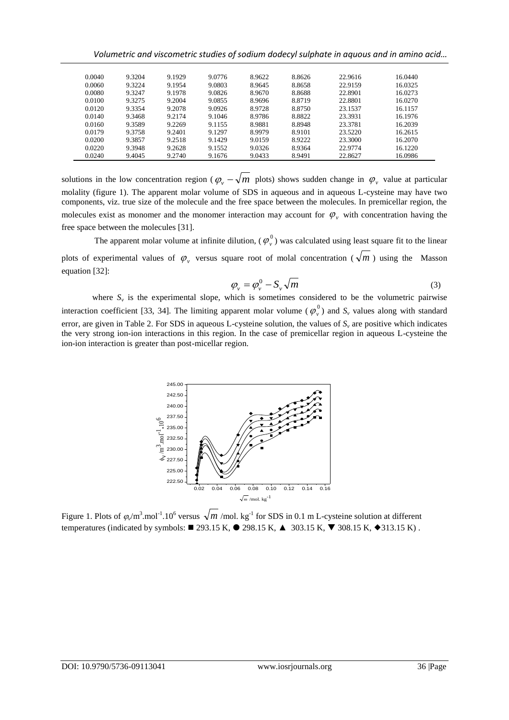*Volumetric and viscometric studies of sodium dodecyl sulphate in aquous and in amino acid…*

| 0.0040 | 9.3204 | 9.1929 | 9.0776 | 8.9622 | 8.8626 | 22.9616 | 16.0440 |
|--------|--------|--------|--------|--------|--------|---------|---------|
| 0.0060 | 9.3224 | 9.1954 | 9.0803 | 8.9645 | 8.8658 | 22.9159 | 16.0325 |
| 0.0080 | 9.3247 | 9.1978 | 9.0826 | 8.9670 | 8.8688 | 22.8901 | 16.0273 |
| 0.0100 | 9.3275 | 9.2004 | 9.0855 | 8.9696 | 8.8719 | 22.8801 | 16.0270 |
| 0.0120 | 9.3354 | 9.2078 | 9.0926 | 8.9728 | 8.8750 | 23.1537 | 16.1157 |
| 0.0140 | 9.3468 | 9.2174 | 9.1046 | 8.9786 | 8.8822 | 23.3931 | 16.1976 |
| 0.0160 | 9.3589 | 9.2269 | 9.1155 | 8.9881 | 8.8948 | 23.3781 | 16.2039 |
| 0.0179 | 9.3758 | 9.2401 | 9.1297 | 8.9979 | 8.9101 | 23.5220 | 16.2615 |
| 0.0200 | 9.3857 | 9.2518 | 9.1429 | 9.0159 | 8.9222 | 23.3000 | 16.2070 |
| 0.0220 | 9.3948 | 9.2628 | 9.1552 | 9.0326 | 8.9364 | 22.9774 | 16.1220 |
| 0.0240 | 9.4045 | 9.2740 | 9.1676 | 9.0433 | 8.9491 | 22.8627 | 16.0986 |
|        |        |        |        |        |        |         |         |

solutions in the low concentration region ( $\varphi$ <sub>v</sub>  $-\sqrt{m}$  plots) shows sudden change in  $\varphi$ <sub>v</sub> value at particular molality (figure 1). The apparent molar volume of SDS in aqueous and in aqueous L-cysteine may have two components, viz. true size of the molecule and the free space between the molecules. In premicellar region, the molecules exist as monomer and the monomer interaction may account for  $\varphi$ <sub>v</sub> with concentration having the free space between the molecules [31].

The apparent molar volume at infinite dilution,  $(\varphi_{v}^{0})$  was calculated using least square fit to the linear plots of experimental values of  $\varphi$ , versus square root of molal concentration ( $\sqrt{m}$ ) using the Masson equation [32]:

$$
\varphi_{\nu} = \varphi_{\nu}^{0} - S_{\nu} \sqrt{m} \tag{3}
$$

where  $S_v$  is the experimental slope, which is sometimes considered to be the volumetric pairwise interaction coefficient [33, 34]. The limiting apparent molar volume ( $\varphi$ <sup>0</sup>) and  $S$ <sup>*v*</sup> values along with standard error, are given in Table 2. For SDS in aqueous L-cysteine solution, the values of *S<sup>v</sup>* are positive which indicates the very strong ion-ion interactions in this region. In the case of premicellar region in aqueous L-cysteine the ion-ion interaction is greater than post-micellar region.



Figure 1. Plots of  $\varphi/m^3$  mol<sup>-1</sup>.10<sup>6</sup> versus  $\sqrt{m/mol}$ . kg<sup>-1</sup> for SDS in 0.1 m L-cysteine solution at different temperatures (indicated by symbols:  $\blacksquare$  293.15 K,  $\blacksquare$  298.15 K,  $\blacksquare$  303.15 K,  $\blacktriangledown$  308.15 K,  $\blacklozenge$  313.15 K).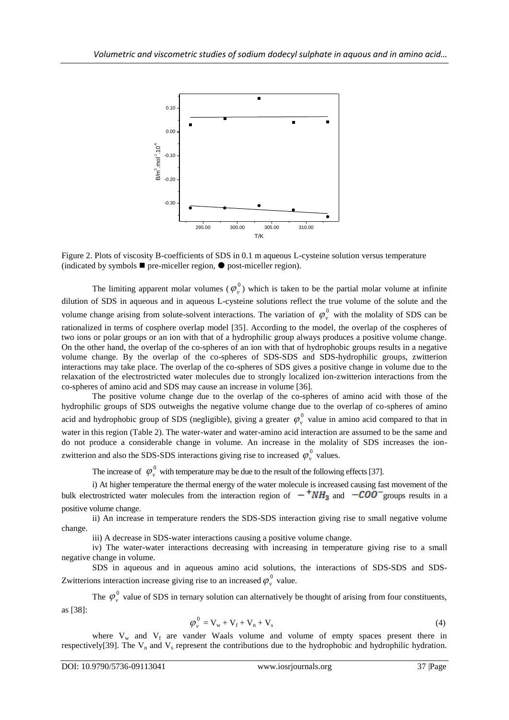

Figure 2. Plots of viscosity B-coefficients of SDS in 0.1 m aqueous L-cysteine solution versus temperature (indicated by symbols  $\blacksquare$  pre-miceller region,  $\lozenge$  post-miceller region).

The limiting apparent molar volumes  $(\varphi_{v}^{0})$  which is taken to be the partial molar volume at infinite dilution of SDS in aqueous and in aqueous L-cysteine solutions reflect the true volume of the solute and the volume change arising from solute-solvent interactions. The variation of  $\varphi_{\nu}^{0}$  with the molality of SDS can be rationalized in terms of cosphere overlap model [35]. According to the model, the overlap of the cospheres of two ions or polar groups or an ion with that of a hydrophilic group always produces a positive volume change. On the other hand, the overlap of the co-spheres of an ion with that of hydrophobic groups results in a negative volume change. By the overlap of the co-spheres of SDS-SDS and SDS-hydrophilic groups, zwitterion interactions may take place. The overlap of the co-spheres of SDS gives a positive change in volume due to the relaxation of the electrostricted water molecules due to strongly localized ion-zwitterion interactions from the co-spheres of amino acid and SDS may cause an increase in volume [36].

The positive volume change due to the overlap of the co-spheres of amino acid with those of the hydrophilic groups of SDS outweighs the negative volume change due to the overlap of co-spheres of amino acid and hydrophobic group of SDS (negligible), giving a greater  $\varphi_{\nu}^{0}$  value in amino acid compared to that in water in this region (Table 2). The water-water and water-amino acid interaction are assumed to be the same and do not produce a considerable change in volume. An increase in the molality of SDS increases the ionzwitterion and also the SDS-SDS interactions giving rise to increased  $\varphi_{\nu}^{0}$  values.

The increase of  $\varphi_{v}^{0}$  with temperature may be due to the result of the following effects [37].

i) At higher temperature the thermal energy of the water molecule is increased causing fast movement of the bulk electrostricted water molecules from the interaction region of  $-\frac{v}{v}NH_3$  and  $-COO$  groups results in a positive volume change.

ii) An increase in temperature renders the SDS-SDS interaction giving rise to small negative volume change.

iii) A decrease in SDS-water interactions causing a positive volume change.

iv) The water-water interactions decreasing with increasing in temperature giving rise to a small negative change in volume.

SDS in aqueous and in aqueous amino acid solutions, the interactions of SDS-SDS and SDS-Zwitterions interaction increase giving rise to an increased  $\varphi_{v}^{0}$  value.

The  $\varphi_{\nu}^{0}$  value of SDS in ternary solution can alternatively be thought of arising from four constituents, as [38]:

$$
\varphi_{\nu}^{0} = V_{w} + V_{f} + V_{n} + V_{s}
$$
\n
$$
\tag{4}
$$

where  $V_w$  and  $V_f$  are vander Waals volume and volume of empty spaces present there in respectively[39]. The  $V_n$  and  $V_s$  represent the contributions due to the hydrophobic and hydrophilic hydration.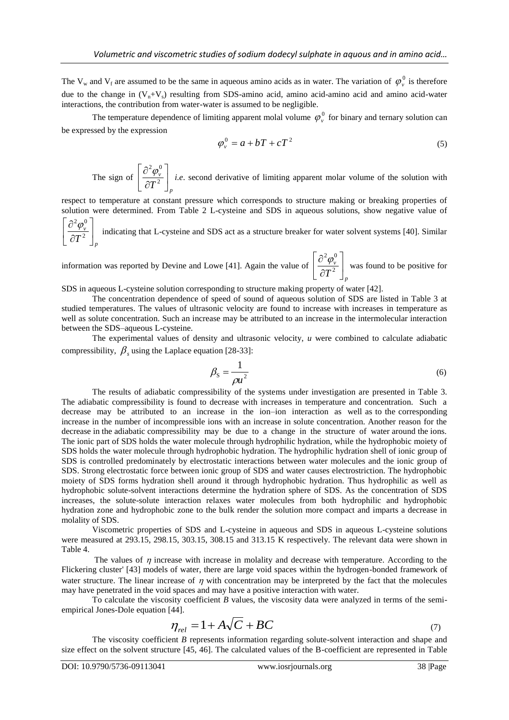The  $V_w$  and  $V_f$  are assumed to be the same in aqueous amino acids as in water. The variation of  $\varphi_v^0$  is therefore due to the change in  $(V_n+V_s)$  resulting from SDS-amino acid, amino acid-amino acid and amino acid-water interactions, the contribution from water-water is assumed to be negligible.

The temperature dependence of limiting apparent molal volume  $\varphi_{\nu}^{0}$  for binary and ternary solution can be expressed by the expression

$$
\varphi_v^0 = a + bT + cT^2 \tag{5}
$$

The sign of 
$$
\left[\frac{\partial^2 \varphi_v^0}{\partial T^2}\right]_p
$$
 *i.e.* second derivative of limiting apparent molar volume of the solution with

respect to temperature at constant pressure which corresponds to structure making or breaking properties of solution were determined. From Table 2 L-cysteine and SDS in aqueous solutions, show negative value of  $\overline{\phantom{a}}$  $\mathbf{r}$ 

*p v*  $\frac{1}{T^2}$  $\rfloor$ L  $\overline{\mathsf{L}}$  $\partial$  $\partial$ 2  $\frac{2 \varphi_{v}^{0}}{\sqrt{2}}$  indicating that L-cysteine and SDS act as a structure breaker for water solvent systems [40]. Similar

information was reported by Devine and Lowe [41]. Again the value of *p v*  $\frac{1}{T^2}$  $\overline{\phantom{a}}$   $\mathbf{r}$ L  $\overline{\phantom{a}}$  $\hat{o}$  $\partial$ 2  $\left\lfloor \frac{2\varphi_{v}^{0}}{2\varphi_{v}^{2}}\right\rfloor$  was found to be positive for

SDS in aqueous L-cysteine solution corresponding to structure making property of water [42].

The concentration dependence of speed of sound of aqueous solution of SDS are listed in Table 3 at studied temperatures. The values of ultrasonic velocity are found to increase with increases in temperature as well as solute concentration. Such an increase may be attributed to an increase in the intermolecular interaction between the SDS–aqueous L-cysteine.

The experimental values of density and ultrasonic velocity, *u* were combined to calculate adiabatic compressibility,  $\beta_s$  using the Laplace equation [28-33]:

$$
\beta_{\rm S} = \frac{1}{\rho u^2} \tag{6}
$$

The results of adiabatic compressibility of the systems under investigation are presented in Table 3. The adiabatic compressibility is found to decrease with increases in temperature and concentration. Such a decrease may be attributed to an increase in the ion–ion interaction as well as to the corresponding increase in the number of incompressible ions with an increase in solute concentration. Another reason for the decrease in the adiabatic compressibility may be due to a change in the structure of water around the ions. The ionic part of SDS holds the water molecule through hydrophilic hydration, while the hydrophobic moiety of SDS holds the water molecule through hydrophobic hydration. The hydrophilic hydration shell of ionic group of SDS is controlled predominately by electrostatic interactions between water molecules and the ionic group of SDS. Strong electrostatic force between ionic group of SDS and water causes electrostriction. The hydrophobic moiety of SDS forms hydration shell around it through hydrophobic hydration. Thus hydrophilic as well as hydrophobic solute-solvent interactions determine the hydration sphere of SDS. As the concentration of SDS increases, the solute-solute interaction relaxes water molecules from both hydrophilic and hydrophobic hydration zone and hydrophobic zone to the bulk render the solution more compact and imparts a decrease in molality of SDS.

Viscometric properties of SDS and L-cysteine in aqueous and SDS in aqueous L-cysteine solutions were measured at 293.15, 298.15, 303.15, 308.15 and 313.15 K respectively. The relevant data were shown in Table 4.

The values of  $\eta$  increase with increase in molality and decrease with temperature. According to the Flickering cluster' [43] models of water, there are large void spaces within the hydrogen-bonded framework of water structure. The linear increase of  $\eta$  with concentration may be interpreted by the fact that the molecules may have penetrated in the void spaces and may have a positive interaction with water.

To calculate the viscosity coefficient *B* values, the viscosity data were analyzed in terms of the semiempirical Jones-Dole equation [44].

$$
\eta_{rel} = 1 + A\sqrt{C} + BC \tag{7}
$$

The viscosity coefficient *B* represents information regarding solute-solvent interaction and shape and size effect on the solvent structure [45, 46]. The calculated values of the B-coefficient are represented in Table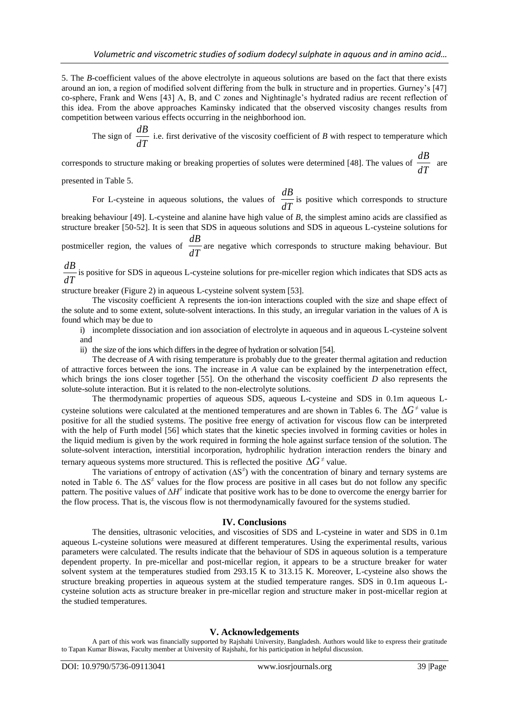5. The *B*-coefficient values of the above electrolyte in aqueous solutions are based on the fact that there exists around an ion, a region of modified solvent differing from the bulk in structure and in properties. Gurney's [47] co-sphere, Frank and Wens [43] A, B, and C zones and Nightinagle's hydrated radius are recent reflection of this idea. From the above approaches Kaminsky indicated that the observed viscosity changes results from competition between various effects occurring in the neighborhood ion.

The sign of *dT*  $\frac{dB}{dE}$  i.e. first derivative of the viscosity coefficient of *B* with respect to temperature which

corresponds to structure making or breaking properties of solutes were determined [48]. The values of *dT*  $\frac{dB}{dx}$  are

presented in Table 5.

For L-cysteine in aqueous solutions, the values of *dT*  $\frac{dB}{dE}$  is positive which corresponds to structure

breaking behaviour [49]. L-cysteine and alanine have high value of *B*, the simplest amino acids are classified as structure breaker [50-52]. It is seen that SDS in aqueous solutions and SDS in aqueous L-cysteine solutions for

postmiceller region, the values of *dT*  $\frac{dB}{dx}$  are negative which corresponds to structure making behaviour. But

*dT*  $\frac{dB}{dx}$  is positive for SDS in aqueous L-cysteine solutions for pre-miceller region which indicates that SDS acts as

structure breaker (Figure 2) in aqueous L-cysteine solvent system [53].

The viscosity coefficient A represents the ion-ion interactions coupled with the size and shape effect of the solute and to some extent, solute-solvent interactions. In this study, an irregular variation in the values of A is found which may be due to

i) incomplete dissociation and ion association of electrolyte in aqueous and in aqueous L-cysteine solvent and

ii) the size of the ions which differs in the degree of hydration or solvation [54].

The decrease of *A* with rising temperature is probably due to the greater thermal agitation and reduction of attractive forces between the ions. The increase in *A* value can be explained by the interpenetration effect, which brings the ions closer together [55]. On the otherhand the viscosity coefficient *D* also represents the solute-solute interaction. But it is related to the non-electrolyte solutions.

The thermodynamic properties of aqueous SDS, aqueous L-cysteine and SDS in 0.1m aqueous Lcysteine solutions were calculated at the mentioned temperatures and are shown in Tables 6. The  $\Delta G^{\neq}$  value is positive for all the studied systems. The positive free energy of activation for viscous flow can be interpreted with the help of Furth model [56] which states that the kinetic species involved in forming cavities or holes in the liquid medium is given by the work required in forming the hole against surface tension of the solution. The solute-solvent interaction, interstitial incorporation, hydrophilic hydration interaction renders the binary and ternary aqueous systems more structured. This is reflected the positive  $\Delta G^{\neq}$  value.

The variations of entropy of activation  $(\Delta S^{\neq})$  with the concentration of binary and ternary systems are noted in Table 6. The  $\Delta S^{\neq}$  values for the flow process are positive in all cases but do not follow any specific pattern. The positive values of  $\Delta H^{\neq}$  indicate that positive work has to be done to overcome the energy barrier for the flow process. That is, the viscous flow is not thermodynamically favoured for the systems studied.

# **IV. Conclusions**

The densities, ultrasonic velocities, and viscosities of SDS and L-cysteine in water and SDS in 0.1m aqueous L-cysteine solutions were measured at different temperatures. Using the experimental results, various parameters were calculated. The results indicate that the behaviour of SDS in aqueous solution is a temperature dependent property. In pre-micellar and post-micellar region, it appears to be a structure breaker for water solvent system at the temperatures studied from 293.15 K to 313.15 K. Moreover, L-cysteine also shows the structure breaking properties in aqueous system at the studied temperature ranges. SDS in 0.1m aqueous Lcysteine solution acts as structure breaker in pre-micellar region and structure maker in post-micellar region at the studied temperatures.

### **V. Acknowledgements**

A part of this work was financially supported by Rajshahi University, Bangladesh. Authors would like to express their gratitude to Tapan Kumar Biswas, Faculty member at University of Rajshahi, for his participation in helpful discussion.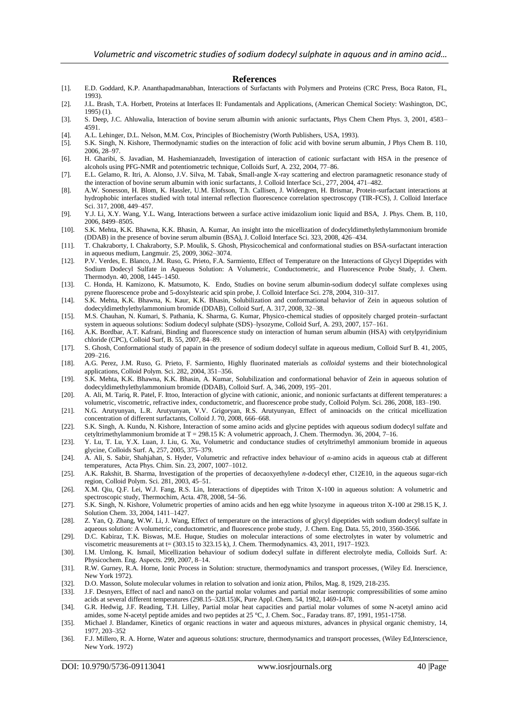#### **References**

- [1]. E.D. Goddard, K.P. Ananthapadmanabhan, Interactions of Surfactants with Polymers and Proteins (CRC Press, Boca Raton, FL, 1993).
- [2]. J.L. Brash, T.A. Horbett, Proteins at Interfaces II: Fundamentals and Applications, (American Chemical Society: Washington, DC, 1995) (1).
- [3]. S. Deep, J.C. Ahluwalia, Interaction of bovine serum albumin with anionic surfactants, Phys Chem Chem Phys. 3, 2001, 4583– 4591.
- [4]. A.L. Lehinger, D.L. Nelson, M.M. Cox, Principles of Biochemistry (Worth Publishers, USA, 1993).
- [5]. S.K. Singh, N. Kishore, Thermodynamic studies on the interaction of folic acid with bovine serum albumin, J Phys Chem B. 110, 2006, 28–97.
- [6]. H. Gharibi, S. Javadian, M. Hashemianzadeh, [Investigation of interaction of cationic surfactant with HSA in the presence of](https://scholar.google.com/citations?view_op=view_citation&hl=th&user=bSQjYIQAAAAJ&citation_for_view=bSQjYIQAAAAJ:u5HHmVD_uO8C)  [alcohols using PFG-NMR and potentiometric technique,](https://scholar.google.com/citations?view_op=view_citation&hl=th&user=bSQjYIQAAAAJ&citation_for_view=bSQjYIQAAAAJ:u5HHmVD_uO8C) Colloids Surf, A. 232, 2004, 77–86.
- [7]. E.L. Gelamo, R. Itri, A. Alonso, J.V. Silva, M. Tabak, [Small-angle X-ray scattering and electron paramagnetic resonance study of](https://scholar.google.com/citations?view_op=view_citation&hl=en&user=mlTO-jIAAAAJ&citation_for_view=mlTO-jIAAAAJ:UeHWp8X0CEIC)  [the interaction of bovine serum albumin with ionic surfactants,](https://scholar.google.com/citations?view_op=view_citation&hl=en&user=mlTO-jIAAAAJ&citation_for_view=mlTO-jIAAAAJ:UeHWp8X0CEIC) J. Colloid Interface Sci., 277, 2004, 471–482.
- [8]. A.W. Sonesson, H. Blom, K. Hassler, U.M. Elofsson, T.h. Callisen, J. Widengren, H. Brismar, Protein-surfactant interactions at hydrophobic interfaces studied with total internal reflection fluorescence correlation spectroscopy (TIR-FCS), J. Colloid Interface Sci. 317, 2008, 449–457.
- [9]. Y.J. Li, X.Y. Wang, Y.L. Wang, Interactions between a surface active imidazolium ionic liquid and BSA, J. Phys. Chem. B, 110, 2006, 8499–8505.
- [10]. S.K. Mehta, K.K. Bhawna, K.K. Bhasin, A. Kumar, An insight into the micellization of dodecyldimethylethylammonium bromide (DDAB) in the presence of bovine serum albumin (BSA), J. Colloid Interface Sci. 323, 2008, 426–434.
- [11]. T. Chakraborty, I. Chakraborty, S.P. Moulik, S. Ghosh, Physicochemical and conformational studies on BSA-surfactant interaction in aqueous medium, Langmuir. 25, 2009, 3062–3074.
- [12]. P.V. Verdes, E. Blanco, J.M. Ruso, G. Prieto, F.A. Sarmiento, Effect of Temperature on the Interactions of Glycyl Dipeptides with Sodium Dodecyl Sulfate in Aqueous Solution: A Volumetric, Conductometric, and Fluorescence Probe Study, J. Chem. Thermodyn. 40, 2008, 1445–1450.
- [13]. C. Honda, H. Kamizono, K. Matsumoto, K. Endo, Studies on bovine serum albumin-sodium dodecyl sulfate complexes using pyrene fluorescence probe and 5-doxylstearic acid spin probe, J. Colloid Interface Sci. 278, 2004, 310–317.
- [14]. S.K. Mehta, K.K. Bhawna, K. Kaur, K.K. Bhasin, Solubilization and conformational behavior of Zein in aqueous solution of dodecyldimethylethylammonium bromide (DDAB), Colloid Surf, A. 317, 2008, 32–38.
- [15]. M.S. Chauhan, N. Kumari, S. Pathania, K. Sharma, G. Kumar, Physico-chemical studies of oppositely charged protein–surfactant system in aqueous solutions: Sodium dodecyl sulphate (SDS)–lysozyme, Colloid Surf, A. 293, 2007, 157–161.
- [16]. A.K. Bordbar, A.T. Kafrani, Binding and fluorescence study on interaction of human serum albumin (HSA) with cetylpyridinium chloride (CPC), Colloid Surf, B. 55, 2007, 84–89.
- [17]. S. Ghosh, [Conformational study of papain in the presence of sodium dodecyl sulfate in aqueous medium,](https://scholar.google.com/citations?view_op=view_citation&hl=ru&user=g4kpi3kAAAAJ&citation_for_view=g4kpi3kAAAAJ:YsMSGLbcyi4C) Colloid Surf B. 41, 2005, 209–216.
- [18]. A.G. Perez, J.M. Ruso, G. Prieto, F. Sarmiento, Highly fluorinated materials as *colloidal* systems and their biotechnological applications, Colloid Polym. Sci. 282, 2004, 351–356.
- [19]. S.K. Mehta, K.K. Bhawna, K.K. Bhasin, A. Kumar, Solubilization and conformational behavior of Zein in aqueous solution of dodecyldimethylethylammonium bromide (DDAB), Colloid Surf. A, 346, 2009, 195–201.
- [20]. A. Ali, M. Tariq, R. Patel, F. Ittoo[, Interaction of glycine with cationic, anionic, and nonionic surfactants at different temperatures: a](https://scholar.google.com/citations?view_op=view_citation&hl=th&user=EqnMeykAAAAJ&citation_for_view=EqnMeykAAAAJ:u5HHmVD_uO8C)  [volumetric, viscometric, refractive index, conductometric, and fluorescence probe study,](https://scholar.google.com/citations?view_op=view_citation&hl=th&user=EqnMeykAAAAJ&citation_for_view=EqnMeykAAAAJ:u5HHmVD_uO8C) Colloid Polym. Sci. 286, 2008, 183–190.
- [21]. N.G. Arutyunyan, L.R. Arutyunyan, V.V. Grigoryan, R.S. Arutyunyan, Effect of aminoacids on the critical micellization concentration of different surfactants, Colloid J. 70, 2008, 666–668.
- [22]. S.K. Singh, A. Kundu, N. Kishore, Interaction of some amino acids and glycine peptides with aqueous sodium dodecyl sulfate and cetyltrimethylammonium bromide at T = 298.15 K: A volumetric approach, J. Chem. Thermodyn. 36, 2004, 7-16.
- [23]. Y. Lu, T. Lu, Y.X. Luan, J. Liu, G. Xu, Volumetric and conductance studies of cetyltrimethyl ammonium bromide in aqueous glycine, Colloids Surf. A, 257, 2005, 375–379.
- [24]. A. Ali, S. Sabir, Shahjahan, S. Hyder, Volumetric and refractive index behaviour of *α*-amino acids in aqueous ctab at different temperatures, Acta Phys. Chim. Sin. 23, 2007, 1007–1012.
- [25]. A.K. Rakshit, B. Sharma, Investigation of the properties of decaoxyethylene *n*-dodecyl ether, C12E10, in the aqueous sugar-rich region, Colloid Polym. Sci. 281, 2003, 45–51.
- [26]. X.M. Qiu, Q.F. Lei, W.J. Fang, R.S. Lin, Interactions of dipeptides with Triton X-100 in aqueous solution: A volumetric and spectroscopic study, Thermochim, Acta. 478, 2008, 54–56.
- [27]. S.K. Singh, N. Kishore, Volumetric properties of amino acids and hen egg white lysozyme in aqueous triton X-100 at 298.15 K, J. Solution Chem. 33, 2004, 1411–1427.
- [28]. Z. Yan, Q. Zhang, W.W. Li, J. Wang, Effect of temperature on the interactions of glycyl dipeptides with sodium dodecyl sulfate in aqueous solution: A volumetric, conductometric, and fluorescence probe study, J. Chem. Eng. Data. 55, 2010, 3560-3566.
- [29]. D.C. Kabiraz, T.K. Biswas, M.E. Huque, Studies on molecular interactions of some electrolytes in water by volumetric and viscometric measurements at t= (303.15 to 323.15 k), J. Chem. Thermodynamics. 43, 2011, 1917–1923.
- [30]. I.M. Umlong, K. Ismail, Micellization behaviour of sodium dodecyl sulfate in different electrolyte media, Colloids Surf. A: Physicochem. Eng. Aspects. 299, 2007, 8–14.
- [31]. R.W. Gurney, R.A. Horne, Ionic Process in Solution: structure, thermodynamics and transport processes, (Wiley Ed. Inerscience, New York 1972).
- [32]. D.O. Masson, Solute molecular volumes in relation to solvation and ioniz ation, Philos, Mag. 8, 1929, 218-235.
- [33]. J.F. Desnyers, Effect of nacl and nano3 on the partial molar volumes and partial molar isentropic compressibilities of some amino acids at several different temperatures (298.15–328.15)K, Pure Appl. Chem. 54, 1982, 1469-1478.
- [34]. G.R. Hedwig, J.F. Reading, T.H. Lilley, Partial molar heat capacities and partial molar volumes of some N-acetyl amino acid amides, some N-acetyl peptide amides and two peptides at 25 °C, J. Chem. Soc., Faraday trans. 87, 1991, 1951-1758.
- [35]. [Michael J. Blandamer,](http://www.sciencedirect.com/science/article/pii/S0065316008601100) Kinetics of organic reactions in water and aqueous mixtures, [advances in physical organic chemistry,](http://www.sciencedirect.com/science/bookseries/00653160) [14,](http://www.sciencedirect.com/science/bookseries/00653160/14/supp/C)  1977, 203–352
- [36]. F.J. Millero, R. A. Horne, Water and aqueous solutions: structure, thermodynamics and transport processes, (Wiley Ed,Interscience, New York. 1972)